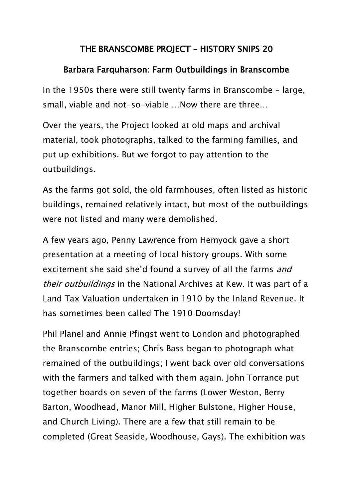## THE BRANSCOMBE PROJECT – HISTORY SNIPS 20

## Barbara Farquharson: Farm Outbuildings in Branscombe

In the 1950s there were still twenty farms in Branscombe – large, small, viable and not-so-viable …Now there are three…

Over the years, the Project looked at old maps and archival material, took photographs, talked to the farming families, and put up exhibitions. But we forgot to pay attention to the outbuildings.

As the farms got sold, the old farmhouses, often listed as historic buildings, remained relatively intact, but most of the outbuildings were not listed and many were demolished.

A few years ago, Penny Lawrence from Hemyock gave a short presentation at a meeting of local history groups. With some excitement she said she'd found a survey of all the farms *and* their outbuildings in the National Archives at Kew. It was part of a Land Tax Valuation undertaken in 1910 by the Inland Revenue. It has sometimes been called The 1910 Doomsday!

Phil Planel and Annie Pfingst went to London and photographed the Branscombe entries; Chris Bass began to photograph what remained of the outbuildings; I went back over old conversations with the farmers and talked with them again. John Torrance put together boards on seven of the farms (Lower Weston, Berry Barton, Woodhead, Manor Mill, Higher Bulstone, Higher House, and Church Living). There are a few that still remain to be completed (Great Seaside, Woodhouse, Gays). The exhibition was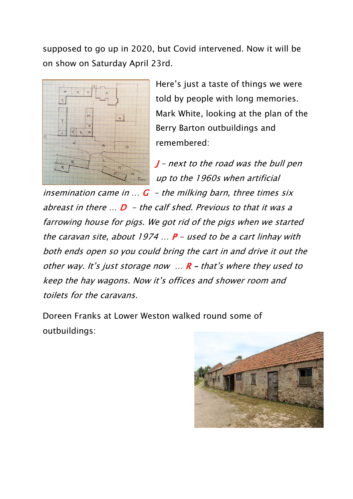supposed to go up in 2020, but Covid intervened. Now it will be on show on Saturday April 23rd.



Here's just a taste of things we were told by people with long memories. Mark White, looking at the plan of the Berry Barton outbuildings and remembered:

 $J$  – next to the road was the bull pen up to the 1960s when artificial

insemination came in  $\ldots$  G - the milking barn, three times six abreast in there  $\mathbb{R}$  D - the calf shed. Previous to that it was a farrowing house for pigs. We got rid of the pigs when we started the caravan site, about 1974  $\ldots$  P – used to be a cart linhay with both ends open so you could bring the cart in and drive it out the other way. It's just storage now  $\ldots$  R - that's where they used to keep the hay wagons. Now it's offices and shower room and toilets for the caravans.

Doreen Franks at Lower Weston walked round some of outbuildings:

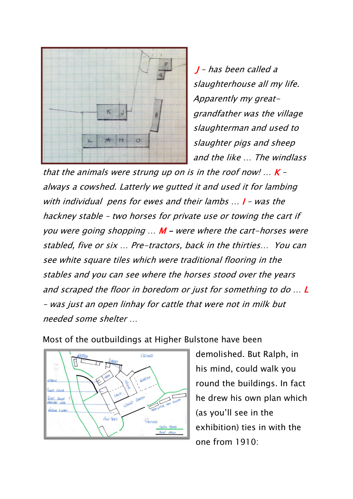

J – has been called a slaughterhouse all my life. Apparently my greatgrandfather was the village slaughterman and used to slaughter pigs and sheep and the like … The windlass

that the animals were strung up on is in the roof now!  $\ldots$  K – always a cowshed. Latterly we gutted it and used it for lambing with individual pens for ewes and their lambs ... **I** - was the hackney stable – two horses for private use or towing the cart if you were going shopping  $\ldots$  M – were where the cart-horses were stabled, five or six … Pre-tractors, back in the thirties… You can see white square tiles which were traditional flooring in the stables and you can see where the horses stood over the years and scraped the floor in boredom or just for something to do … L – was just an open linhay for cattle that were not in milk but needed some shelter …



Most of the outbuildings at Higher Bulstone have been

demolished. But Ralph, in his mind, could walk you round the buildings. In fact he drew his own plan which (as you'll see in the exhibition) ties in with the one from 1910: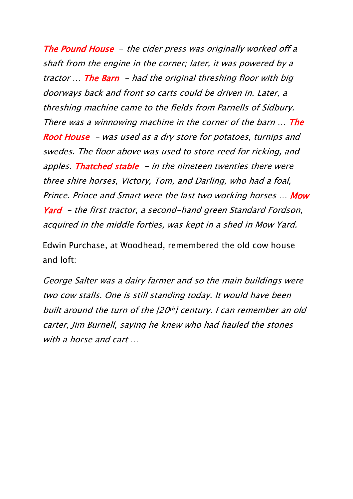The Pound House - the cider press was originally worked off a shaft from the engine in the corner; later, it was powered by a tractor  $\ldots$  The Barn - had the original threshing floor with big doorways back and front so carts could be driven in. Later, a threshing machine came to the fields from Parnells of Sidbury. There was a winnowing machine in the corner of the barn ... The Root House - was used as a dry store for potatoes, turnips and swedes. The floor above was used to store reed for ricking, and apples. Thatched stable  $-$  in the nineteen twenties there were three shire horses, Victory, Tom, and Darling, who had a foal, Prince. Prince and Smart were the last two working horses ... Mow Yard – the first tractor, a second-hand green Standard Fordson, acquired in the middle forties, was kept in a shed in Mow Yard.

Edwin Purchase, at Woodhead, remembered the old cow house and loft:

George Salter was a dairy farmer and so the main buildings were two cow stalls. One is still standing today. It would have been built around the turn of the [20th] century. I can remember an old carter, Jim Burnell, saying he knew who had hauled the stones with a horse and cart …